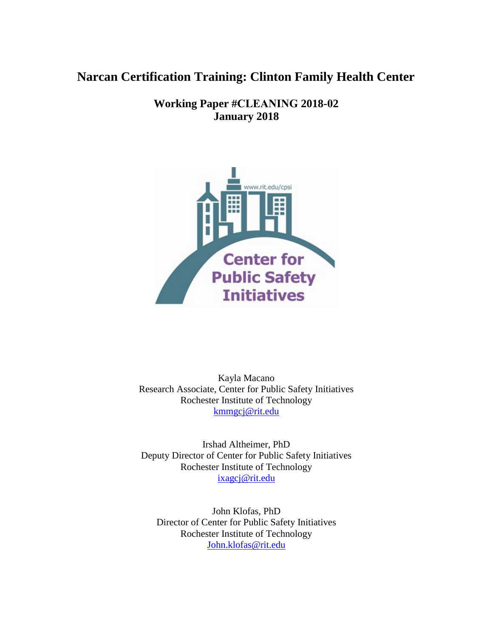# **Narcan Certification Training: Clinton Family Health Center**

**Working Paper #CLEANING 2018-02 January 2018** 



Kayla Macano Research Associate, Center for Public Safety Initiatives Rochester Institute of Technology [kmmgcj@rit.edu](mailto:kmmgcj@rit.edu)

Irshad Altheimer, PhD Deputy Director of Center for Public Safety Initiatives Rochester Institute of Technology [ixagcj@rit.edu](mailto:ixagcj@rit.edu)

John Klofas, PhD Director of Center for Public Safety Initiatives Rochester Institute of Technology [John.klofas@rit.edu](mailto:John.klofas@rit.edu)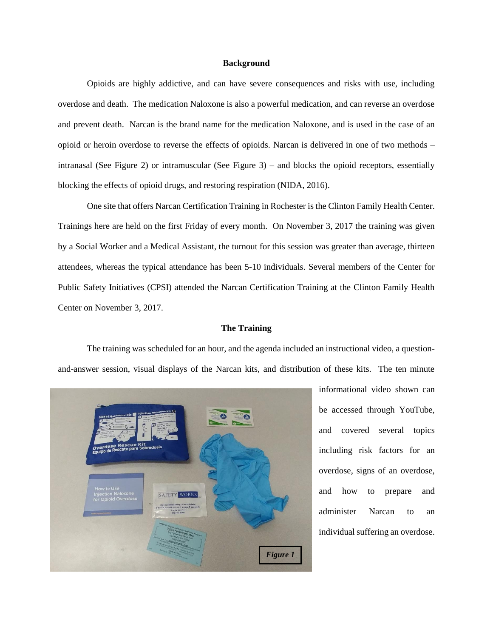#### **Background**

Opioids are highly addictive, and can have severe consequences and risks with use, including overdose and death. The medication Naloxone is also a powerful medication, and can reverse an overdose and prevent death. Narcan is the brand name for the medication Naloxone, and is used in the case of an opioid or heroin overdose to reverse the effects of opioids. Narcan is delivered in one of two methods – intranasal (See Figure 2) or intramuscular (See Figure 3) – and blocks the opioid receptors, essentially blocking the effects of opioid drugs, and restoring respiration (NIDA, 2016).

One site that offers Narcan Certification Training in Rochester is the Clinton Family Health Center. Trainings here are held on the first Friday of every month. On November 3, 2017 the training was given by a Social Worker and a Medical Assistant, the turnout for this session was greater than average, thirteen attendees, whereas the typical attendance has been 5-10 individuals. Several members of the Center for Public Safety Initiatives (CPSI) attended the Narcan Certification Training at the Clinton Family Health Center on November 3, 2017.

## **The Training**

The training was scheduled for an hour, and the agenda included an instructional video, a questionand-answer session, visual displays of the Narcan kits, and distribution of these kits. The ten minute



informational video shown can be accessed through YouTube, and covered several topics including risk factors for an overdose, signs of an overdose, and how to prepare and administer Narcan to an individual suffering an overdose.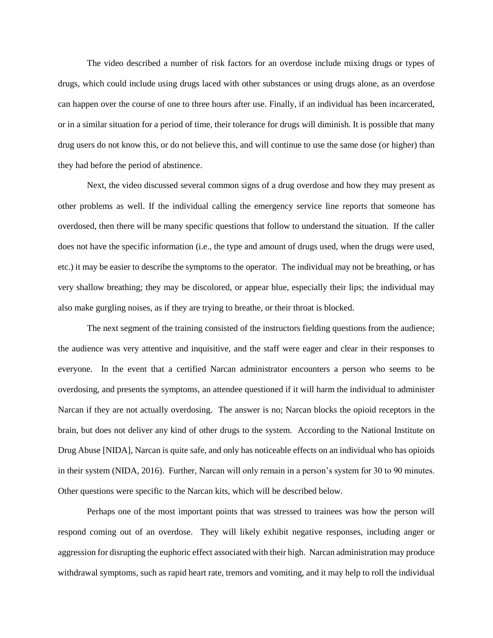The video described a number of risk factors for an overdose include mixing drugs or types of drugs, which could include using drugs laced with other substances or using drugs alone, as an overdose can happen over the course of one to three hours after use. Finally, if an individual has been incarcerated, or in a similar situation for a period of time, their tolerance for drugs will diminish. It is possible that many drug users do not know this, or do not believe this, and will continue to use the same dose (or higher) than they had before the period of abstinence.

Next, the video discussed several common signs of a drug overdose and how they may present as other problems as well. If the individual calling the emergency service line reports that someone has overdosed, then there will be many specific questions that follow to understand the situation. If the caller does not have the specific information (i.e., the type and amount of drugs used, when the drugs were used, etc.) it may be easier to describe the symptoms to the operator. The individual may not be breathing, or has very shallow breathing; they may be discolored, or appear blue, especially their lips; the individual may also make gurgling noises, as if they are trying to breathe, or their throat is blocked.

The next segment of the training consisted of the instructors fielding questions from the audience; the audience was very attentive and inquisitive, and the staff were eager and clear in their responses to everyone. In the event that a certified Narcan administrator encounters a person who seems to be overdosing, and presents the symptoms, an attendee questioned if it will harm the individual to administer Narcan if they are not actually overdosing. The answer is no; Narcan blocks the opioid receptors in the brain, but does not deliver any kind of other drugs to the system. According to the National Institute on Drug Abuse [NIDA], Narcan is quite safe, and only has noticeable effects on an individual who has opioids in their system (NIDA, 2016). Further, Narcan will only remain in a person's system for 30 to 90 minutes. Other questions were specific to the Narcan kits, which will be described below.

Perhaps one of the most important points that was stressed to trainees was how the person will respond coming out of an overdose. They will likely exhibit negative responses, including anger or aggression for disrupting the euphoric effect associated with their high. Narcan administration may produce withdrawal symptoms, such as rapid heart rate, tremors and vomiting, and it may help to roll the individual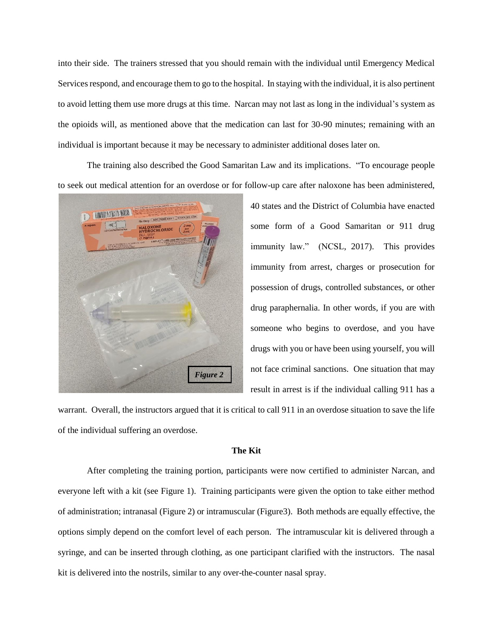into their side. The trainers stressed that you should remain with the individual until Emergency Medical Services respond, and encourage them to go to the hospital. In staying with the individual, it is also pertinent to avoid letting them use more drugs at this time. Narcan may not last as long in the individual's system as the opioids will, as mentioned above that the medication can last for 30-90 minutes; remaining with an individual is important because it may be necessary to administer additional doses later on.

The training also described the Good Samaritan Law and its implications. "To encourage people to seek out medical attention for an overdose or for follow-up care after naloxone has been administered,



40 states and the District of Columbia have enacted some form of a Good Samaritan or 911 drug immunity law." (NCSL, 2017). This provides immunity from arrest, charges or prosecution for possession of drugs, controlled substances, or other drug paraphernalia. In other words, if you are with someone who begins to overdose, and you have drugs with you or have been using yourself, you will not face criminal sanctions. One situation that may result in arrest is if the individual calling 911 has a

warrant. Overall, the instructors argued that it is critical to call 911 in an overdose situation to save the life of the individual suffering an overdose.

#### **The Kit**

After completing the training portion, participants were now certified to administer Narcan, and everyone left with a kit (see Figure 1). Training participants were given the option to take either method of administration; intranasal (Figure 2) or intramuscular (Figure3). Both methods are equally effective, the options simply depend on the comfort level of each person. The intramuscular kit is delivered through a syringe, and can be inserted through clothing, as one participant clarified with the instructors. The nasal kit is delivered into the nostrils, similar to any over-the-counter nasal spray.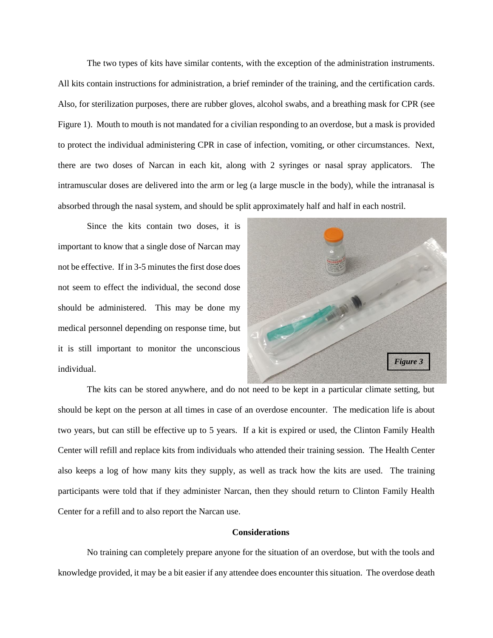The two types of kits have similar contents, with the exception of the administration instruments. All kits contain instructions for administration, a brief reminder of the training, and the certification cards. Also, for sterilization purposes, there are rubber gloves, alcohol swabs, and a breathing mask for CPR (see Figure 1). Mouth to mouth is not mandated for a civilian responding to an overdose, but a mask is provided to protect the individual administering CPR in case of infection, vomiting, or other circumstances. Next, there are two doses of Narcan in each kit, along with 2 syringes or nasal spray applicators. The intramuscular doses are delivered into the arm or leg (a large muscle in the body), while the intranasal is absorbed through the nasal system, and should be split approximately half and half in each nostril.

Since the kits contain two doses, it is important to know that a single dose of Narcan may not be effective. If in 3-5 minutes the first dose does not seem to effect the individual, the second dose should be administered. This may be done my medical personnel depending on response time, but it is still important to monitor the unconscious individual.



The kits can be stored anywhere, and do not need to be kept in a particular climate setting, but should be kept on the person at all times in case of an overdose encounter. The medication life is about two years, but can still be effective up to 5 years. If a kit is expired or used, the Clinton Family Health Center will refill and replace kits from individuals who attended their training session. The Health Center also keeps a log of how many kits they supply, as well as track how the kits are used. The training participants were told that if they administer Narcan, then they should return to Clinton Family Health Center for a refill and to also report the Narcan use.

## **Considerations**

No training can completely prepare anyone for the situation of an overdose, but with the tools and knowledge provided, it may be a bit easier if any attendee does encounter this situation. The overdose death